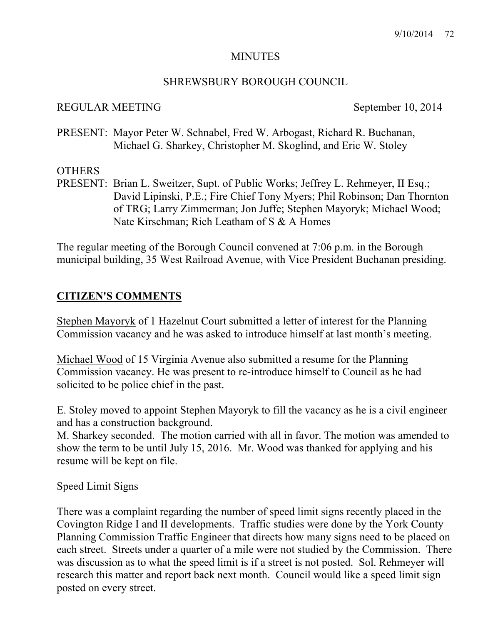#### **MINUTES**

#### SHREWSBURY BOROUGH COUNCIL

#### REGULAR MEETING September 10, 2014

PRESENT: Mayor Peter W. Schnabel, Fred W. Arbogast, Richard R. Buchanan, Michael G. Sharkey, Christopher M. Skoglind, and Eric W. Stoley

## OTHERS

PRESENT: Brian L. Sweitzer, Supt. of Public Works; Jeffrey L. Rehmeyer, II Esq.; David Lipinski, P.E.; Fire Chief Tony Myers; Phil Robinson; Dan Thornton of TRG; Larry Zimmerman; Jon Juffe; Stephen Mayoryk; Michael Wood; Nate Kirschman; Rich Leatham of S & A Homes

The regular meeting of the Borough Council convened at 7:06 p.m. in the Borough municipal building, 35 West Railroad Avenue, with Vice President Buchanan presiding.

## **CITIZEN'S COMMENTS**

Stephen Mayoryk of 1 Hazelnut Court submitted a letter of interest for the Planning Commission vacancy and he was asked to introduce himself at last month's meeting.

Michael Wood of 15 Virginia Avenue also submitted a resume for the Planning Commission vacancy. He was present to re-introduce himself to Council as he had solicited to be police chief in the past.

E. Stoley moved to appoint Stephen Mayoryk to fill the vacancy as he is a civil engineer and has a construction background.

M. Sharkey seconded. The motion carried with all in favor. The motion was amended to show the term to be until July 15, 2016. Mr. Wood was thanked for applying and his resume will be kept on file.

#### Speed Limit Signs

There was a complaint regarding the number of speed limit signs recently placed in the Covington Ridge I and II developments. Traffic studies were done by the York County Planning Commission Traffic Engineer that directs how many signs need to be placed on each street. Streets under a quarter of a mile were not studied by the Commission. There was discussion as to what the speed limit is if a street is not posted. Sol. Rehmeyer will research this matter and report back next month. Council would like a speed limit sign posted on every street.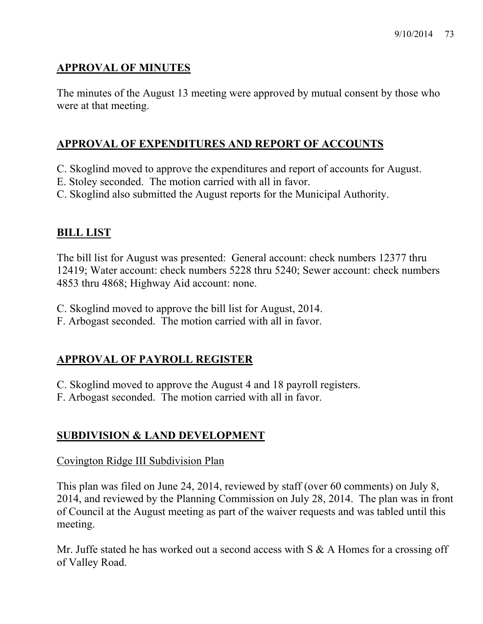# **APPROVAL OF MINUTES**

The minutes of the August 13 meeting were approved by mutual consent by those who were at that meeting.

# **APPROVAL OF EXPENDITURES AND REPORT OF ACCOUNTS**

- C. Skoglind moved to approve the expenditures and report of accounts for August.
- E. Stoley seconded. The motion carried with all in favor.
- C. Skoglind also submitted the August reports for the Municipal Authority.

# **BILL LIST**

The bill list for August was presented: General account: check numbers 12377 thru 12419; Water account: check numbers 5228 thru 5240; Sewer account: check numbers 4853 thru 4868; Highway Aid account: none.

C. Skoglind moved to approve the bill list for August, 2014.

F. Arbogast seconded. The motion carried with all in favor.

# **APPROVAL OF PAYROLL REGISTER**

C. Skoglind moved to approve the August 4 and 18 payroll registers.

F. Arbogast seconded. The motion carried with all in favor.

# **SUBDIVISION & LAND DEVELOPMENT**

# Covington Ridge III Subdivision Plan

This plan was filed on June 24, 2014, reviewed by staff (over 60 comments) on July 8, 2014, and reviewed by the Planning Commission on July 28, 2014. The plan was in front of Council at the August meeting as part of the waiver requests and was tabled until this meeting.

Mr. Juffe stated he has worked out a second access with  $S \& A$  Homes for a crossing off of Valley Road.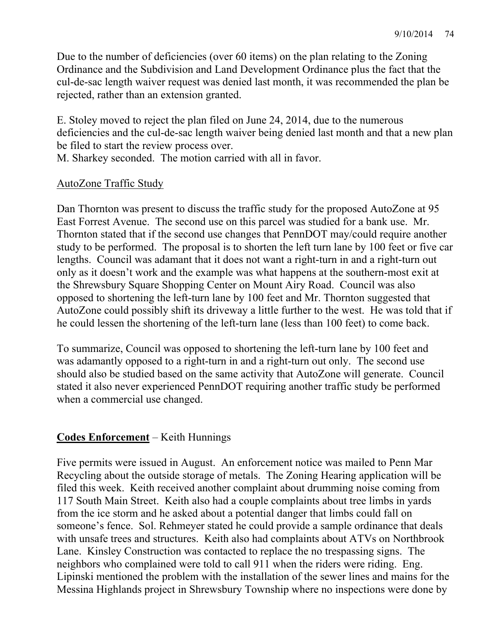Due to the number of deficiencies (over 60 items) on the plan relating to the Zoning Ordinance and the Subdivision and Land Development Ordinance plus the fact that the cul-de-sac length waiver request was denied last month, it was recommended the plan be rejected, rather than an extension granted.

E. Stoley moved to reject the plan filed on June 24, 2014, due to the numerous deficiencies and the cul-de-sac length waiver being denied last month and that a new plan be filed to start the review process over.

M. Sharkey seconded. The motion carried with all in favor.

# AutoZone Traffic Study

Dan Thornton was present to discuss the traffic study for the proposed AutoZone at 95 East Forrest Avenue. The second use on this parcel was studied for a bank use. Mr. Thornton stated that if the second use changes that PennDOT may/could require another study to be performed. The proposal is to shorten the left turn lane by 100 feet or five car lengths. Council was adamant that it does not want a right-turn in and a right-turn out only as it doesn't work and the example was what happens at the southern-most exit at the Shrewsbury Square Shopping Center on Mount Airy Road. Council was also opposed to shortening the left-turn lane by 100 feet and Mr. Thornton suggested that AutoZone could possibly shift its driveway a little further to the west. He was told that if he could lessen the shortening of the left-turn lane (less than 100 feet) to come back.

To summarize, Council was opposed to shortening the left-turn lane by 100 feet and was adamantly opposed to a right-turn in and a right-turn out only. The second use should also be studied based on the same activity that AutoZone will generate. Council stated it also never experienced PennDOT requiring another traffic study be performed when a commercial use changed.

# **Codes Enforcement** – Keith Hunnings

Five permits were issued in August. An enforcement notice was mailed to Penn Mar Recycling about the outside storage of metals. The Zoning Hearing application will be filed this week. Keith received another complaint about drumming noise coming from 117 South Main Street. Keith also had a couple complaints about tree limbs in yards from the ice storm and he asked about a potential danger that limbs could fall on someone's fence. Sol. Rehmeyer stated he could provide a sample ordinance that deals with unsafe trees and structures. Keith also had complaints about ATVs on Northbrook Lane. Kinsley Construction was contacted to replace the no trespassing signs. The neighbors who complained were told to call 911 when the riders were riding. Eng. Lipinski mentioned the problem with the installation of the sewer lines and mains for the Messina Highlands project in Shrewsbury Township where no inspections were done by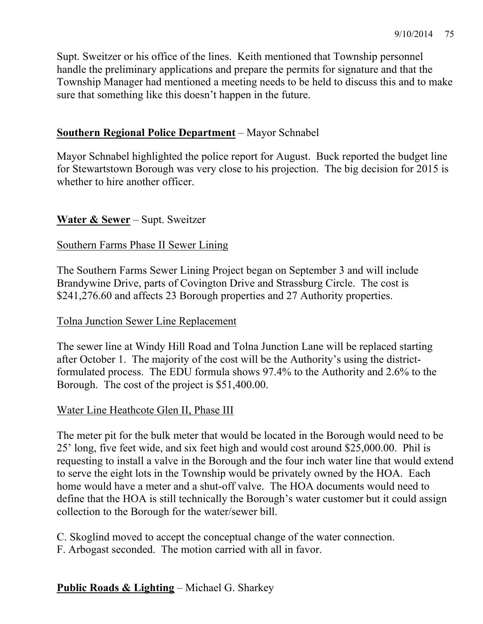Supt. Sweitzer or his office of the lines. Keith mentioned that Township personnel handle the preliminary applications and prepare the permits for signature and that the Township Manager had mentioned a meeting needs to be held to discuss this and to make sure that something like this doesn't happen in the future.

## **Southern Regional Police Department** – Mayor Schnabel

Mayor Schnabel highlighted the police report for August. Buck reported the budget line for Stewartstown Borough was very close to his projection. The big decision for 2015 is whether to hire another officer.

## **Water & Sewer** – Supt. Sweitzer

## Southern Farms Phase II Sewer Lining

The Southern Farms Sewer Lining Project began on September 3 and will include Brandywine Drive, parts of Covington Drive and Strassburg Circle. The cost is \$241,276.60 and affects 23 Borough properties and 27 Authority properties.

## Tolna Junction Sewer Line Replacement

The sewer line at Windy Hill Road and Tolna Junction Lane will be replaced starting after October 1. The majority of the cost will be the Authority's using the districtformulated process. The EDU formula shows 97.4% to the Authority and 2.6% to the Borough. The cost of the project is \$51,400.00.

## Water Line Heathcote Glen II, Phase III

The meter pit for the bulk meter that would be located in the Borough would need to be 25' long, five feet wide, and six feet high and would cost around \$25,000.00. Phil is requesting to install a valve in the Borough and the four inch water line that would extend to serve the eight lots in the Township would be privately owned by the HOA. Each home would have a meter and a shut-off valve. The HOA documents would need to define that the HOA is still technically the Borough's water customer but it could assign collection to the Borough for the water/sewer bill.

C. Skoglind moved to accept the conceptual change of the water connection.

F. Arbogast seconded. The motion carried with all in favor.

# **Public Roads & Lighting** – Michael G. Sharkey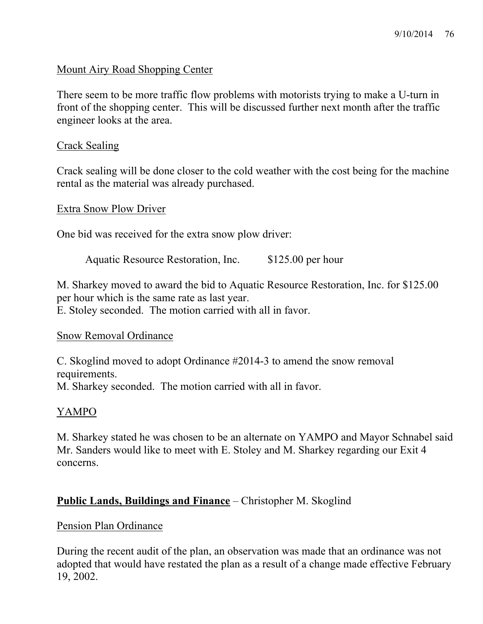# Mount Airy Road Shopping Center

There seem to be more traffic flow problems with motorists trying to make a U-turn in front of the shopping center. This will be discussed further next month after the traffic engineer looks at the area.

## Crack Sealing

Crack sealing will be done closer to the cold weather with the cost being for the machine rental as the material was already purchased.

## Extra Snow Plow Driver

One bid was received for the extra snow plow driver:

Aquatic Resource Restoration, Inc. \$125.00 per hour

M. Sharkey moved to award the bid to Aquatic Resource Restoration, Inc. for \$125.00 per hour which is the same rate as last year. E. Stoley seconded. The motion carried with all in favor.

## Snow Removal Ordinance

C. Skoglind moved to adopt Ordinance #2014-3 to amend the snow removal requirements. M. Sharkey seconded. The motion carried with all in favor.

## YAMPO

M. Sharkey stated he was chosen to be an alternate on YAMPO and Mayor Schnabel said Mr. Sanders would like to meet with E. Stoley and M. Sharkey regarding our Exit 4 concerns.

# **Public Lands, Buildings and Finance** – Christopher M. Skoglind

## Pension Plan Ordinance

During the recent audit of the plan, an observation was made that an ordinance was not adopted that would have restated the plan as a result of a change made effective February 19, 2002.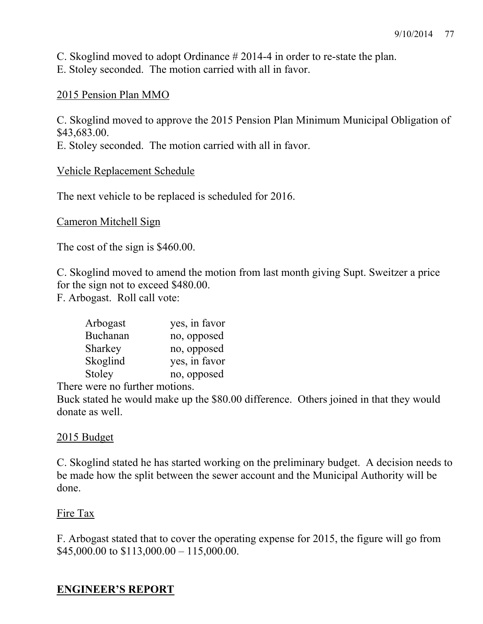C. Skoglind moved to adopt Ordinance # 2014-4 in order to re-state the plan.

E. Stoley seconded. The motion carried with all in favor.

## 2015 Pension Plan MMO

C. Skoglind moved to approve the 2015 Pension Plan Minimum Municipal Obligation of \$43,683.00.

E. Stoley seconded. The motion carried with all in favor.

## Vehicle Replacement Schedule

The next vehicle to be replaced is scheduled for 2016.

Cameron Mitchell Sign

The cost of the sign is \$460.00.

C. Skoglind moved to amend the motion from last month giving Supt. Sweitzer a price for the sign not to exceed \$480.00.

F. Arbogast. Roll call vote:

| Arbogast | yes, in favor |
|----------|---------------|
| Buchanan | no, opposed   |
| Sharkey  | no, opposed   |
| Skoglind | yes, in favor |
| Stoley   | no, opposed   |

There were no further motions.

Buck stated he would make up the \$80.00 difference. Others joined in that they would donate as well.

# 2015 Budget

C. Skoglind stated he has started working on the preliminary budget. A decision needs to be made how the split between the sewer account and the Municipal Authority will be done.

## Fire Tax

F. Arbogast stated that to cover the operating expense for 2015, the figure will go from \$45,000.00 to \$113,000.00 – 115,000.00.

# **ENGINEER'S REPORT**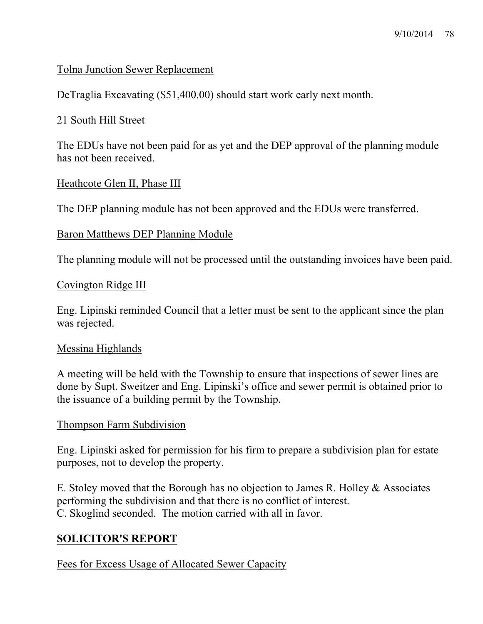## Tolna Junction Sewer Replacement

DeTraglia Excavating (\$51,400.00) should start work early next month.

#### 21 South Hill Street

The EDUs have not been paid for as yet and the DEP approval of the planning module has not been received.

#### Heathcote Glen II, Phase III

The DEP planning module has not been approved and the EDUs were transferred.

#### Baron Matthews DEP Planning Module

The planning module will not be processed until the outstanding invoices have been paid.

#### Covington Ridge III

Eng. Lipinski reminded Council that a letter must be sent to the applicant since the plan was rejected.

#### Messina Highlands

A meeting will be held with the Township to ensure that inspections of sewer lines are done by Supt. Sweitzer and Eng. Lipinski's office and sewer permit is obtained prior to the issuance of a building permit by the Township.

## Thompson Farm Subdivision

Eng. Lipinski asked for permission for his firm to prepare a subdivision plan for estate purposes, not to develop the property.

E. Stoley moved that the Borough has no objection to James R. Holley & Associates performing the subdivision and that there is no conflict of interest. C. Skoglind seconded. The motion carried with all in favor.

# **SOLICITOR'S REPORT**

Fees for Excess Usage of Allocated Sewer Capacity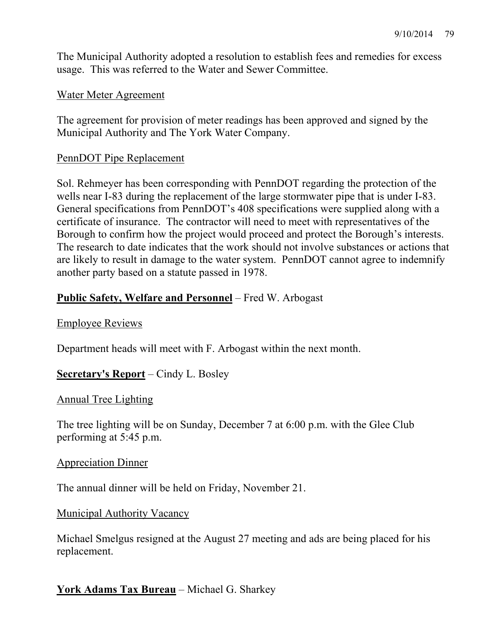The Municipal Authority adopted a resolution to establish fees and remedies for excess usage. This was referred to the Water and Sewer Committee.

#### Water Meter Agreement

The agreement for provision of meter readings has been approved and signed by the Municipal Authority and The York Water Company.

#### PennDOT Pipe Replacement

Sol. Rehmeyer has been corresponding with PennDOT regarding the protection of the wells near I-83 during the replacement of the large stormwater pipe that is under I-83. General specifications from PennDOT's 408 specifications were supplied along with a certificate of insurance. The contractor will need to meet with representatives of the Borough to confirm how the project would proceed and protect the Borough's interests. The research to date indicates that the work should not involve substances or actions that are likely to result in damage to the water system. PennDOT cannot agree to indemnify another party based on a statute passed in 1978.

## **Public Safety, Welfare and Personnel** – Fred W. Arbogast

#### Employee Reviews

Department heads will meet with F. Arbogast within the next month.

**Secretary's Report** – Cindy L. Bosley

#### Annual Tree Lighting

The tree lighting will be on Sunday, December 7 at 6:00 p.m. with the Glee Club performing at 5:45 p.m.

#### Appreciation Dinner

The annual dinner will be held on Friday, November 21.

#### Municipal Authority Vacancy

Michael Smelgus resigned at the August 27 meeting and ads are being placed for his replacement.

## **York Adams Tax Bureau** – Michael G. Sharkey